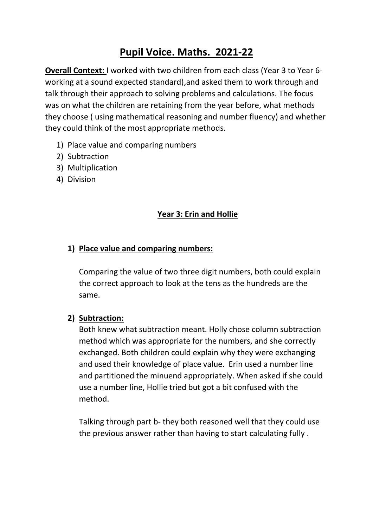# **Pupil Voice. Maths. 2021-22**

**Overall Context:** I worked with two children from each class (Year 3 to Year 6 working at a sound expected standard),and asked them to work through and talk through their approach to solving problems and calculations. The focus was on what the children are retaining from the year before, what methods they choose ( using mathematical reasoning and number fluency) and whether they could think of the most appropriate methods.

- 1) Place value and comparing numbers
- 2) Subtraction
- 3) Multiplication
- 4) Division

## **Year 3: Erin and Hollie**

## **1) Place value and comparing numbers:**

Comparing the value of two three digit numbers, both could explain the correct approach to look at the tens as the hundreds are the same.

## **2) Subtraction:**

Both knew what subtraction meant. Holly chose column subtraction method which was appropriate for the numbers, and she correctly exchanged. Both children could explain why they were exchanging and used their knowledge of place value. Erin used a number line and partitioned the minuend appropriately. When asked if she could use a number line, Hollie tried but got a bit confused with the method.

Talking through part b- they both reasoned well that they could use the previous answer rather than having to start calculating fully .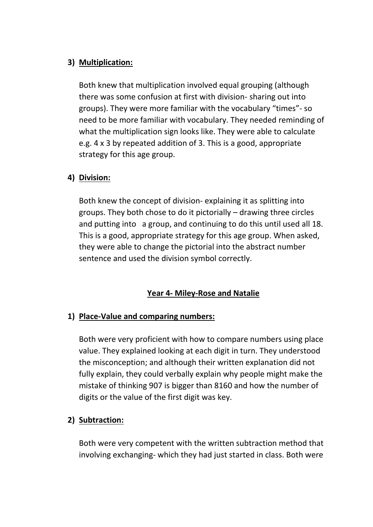## **3) Multiplication:**

Both knew that multiplication involved equal grouping (although there was some confusion at first with division- sharing out into groups). They were more familiar with the vocabulary "times"- so need to be more familiar with vocabulary. They needed reminding of what the multiplication sign looks like. They were able to calculate e.g. 4 x 3 by repeated addition of 3. This is a good, appropriate strategy for this age group.

## **4) Division:**

Both knew the concept of division- explaining it as splitting into groups. They both chose to do it pictorially – drawing three circles and putting into a group, and continuing to do this until used all 18. This is a good, appropriate strategy for this age group. When asked, they were able to change the pictorial into the abstract number sentence and used the division symbol correctly.

## **Year 4- Miley-Rose and Natalie**

## **1) Place-Value and comparing numbers:**

Both were very proficient with how to compare numbers using place value. They explained looking at each digit in turn. They understood the misconception; and although their written explanation did not fully explain, they could verbally explain why people might make the mistake of thinking 907 is bigger than 8160 and how the number of digits or the value of the first digit was key.

## **2) Subtraction:**

Both were very competent with the written subtraction method that involving exchanging- which they had just started in class. Both were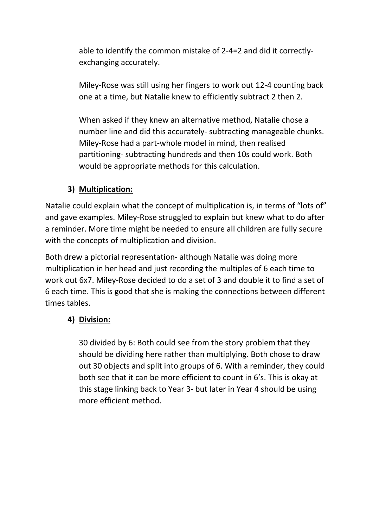able to identify the common mistake of 2-4=2 and did it correctlyexchanging accurately.

Miley-Rose was still using her fingers to work out 12-4 counting back one at a time, but Natalie knew to efficiently subtract 2 then 2.

When asked if they knew an alternative method, Natalie chose a number line and did this accurately- subtracting manageable chunks. Miley-Rose had a part-whole model in mind, then realised partitioning- subtracting hundreds and then 10s could work. Both would be appropriate methods for this calculation.

## **3) Multiplication:**

Natalie could explain what the concept of multiplication is, in terms of "lots of" and gave examples. Miley-Rose struggled to explain but knew what to do after a reminder. More time might be needed to ensure all children are fully secure with the concepts of multiplication and division.

Both drew a pictorial representation- although Natalie was doing more multiplication in her head and just recording the multiples of 6 each time to work out 6x7. Miley-Rose decided to do a set of 3 and double it to find a set of 6 each time. This is good that she is making the connections between different times tables.

## **4) Division:**

30 divided by 6: Both could see from the story problem that they should be dividing here rather than multiplying. Both chose to draw out 30 objects and split into groups of 6. With a reminder, they could both see that it can be more efficient to count in 6's. This is okay at this stage linking back to Year 3- but later in Year 4 should be using more efficient method.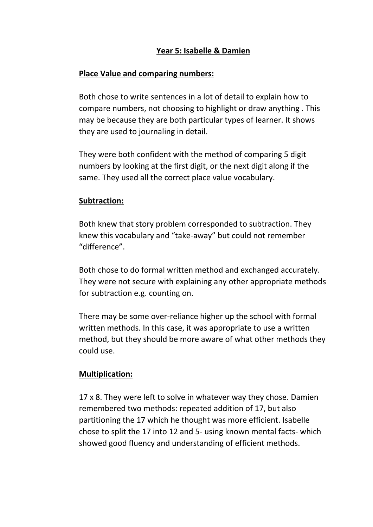## **Year 5: Isabelle & Damien**

### **Place Value and comparing numbers:**

Both chose to write sentences in a lot of detail to explain how to compare numbers, not choosing to highlight or draw anything . This may be because they are both particular types of learner. It shows they are used to journaling in detail.

They were both confident with the method of comparing 5 digit numbers by looking at the first digit, or the next digit along if the same. They used all the correct place value vocabulary.

#### **Subtraction:**

Both knew that story problem corresponded to subtraction. They knew this vocabulary and "take-away" but could not remember "difference".

Both chose to do formal written method and exchanged accurately. They were not secure with explaining any other appropriate methods for subtraction e.g. counting on.

There may be some over-reliance higher up the school with formal written methods. In this case, it was appropriate to use a written method, but they should be more aware of what other methods they could use.

#### **Multiplication:**

17 x 8. They were left to solve in whatever way they chose. Damien remembered two methods: repeated addition of 17, but also partitioning the 17 which he thought was more efficient. Isabelle chose to split the 17 into 12 and 5- using known mental facts- which showed good fluency and understanding of efficient methods.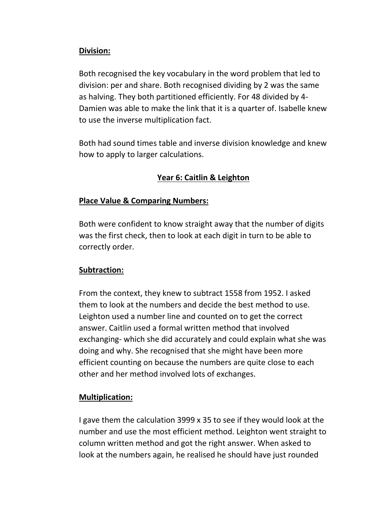## **Division:**

Both recognised the key vocabulary in the word problem that led to division: per and share. Both recognised dividing by 2 was the same as halving. They both partitioned efficiently. For 48 divided by 4- Damien was able to make the link that it is a quarter of. Isabelle knew to use the inverse multiplication fact.

Both had sound times table and inverse division knowledge and knew how to apply to larger calculations.

## **Year 6: Caitlin & Leighton**

## **Place Value & Comparing Numbers:**

Both were confident to know straight away that the number of digits was the first check, then to look at each digit in turn to be able to correctly order.

## **Subtraction:**

From the context, they knew to subtract 1558 from 1952. I asked them to look at the numbers and decide the best method to use. Leighton used a number line and counted on to get the correct answer. Caitlin used a formal written method that involved exchanging- which she did accurately and could explain what she was doing and why. She recognised that she might have been more efficient counting on because the numbers are quite close to each other and her method involved lots of exchanges.

## **Multiplication:**

I gave them the calculation 3999 x 35 to see if they would look at the number and use the most efficient method. Leighton went straight to column written method and got the right answer. When asked to look at the numbers again, he realised he should have just rounded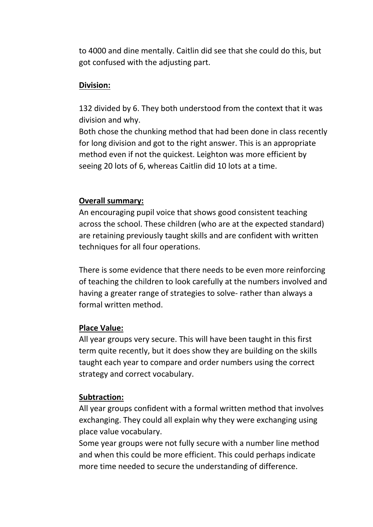to 4000 and dine mentally. Caitlin did see that she could do this, but got confused with the adjusting part.

### **Division:**

132 divided by 6. They both understood from the context that it was division and why.

Both chose the chunking method that had been done in class recently for long division and got to the right answer. This is an appropriate method even if not the quickest. Leighton was more efficient by seeing 20 lots of 6, whereas Caitlin did 10 lots at a time.

#### **Overall summary:**

An encouraging pupil voice that shows good consistent teaching across the school. These children (who are at the expected standard) are retaining previously taught skills and are confident with written techniques for all four operations.

There is some evidence that there needs to be even more reinforcing of teaching the children to look carefully at the numbers involved and having a greater range of strategies to solve- rather than always a formal written method.

## **Place Value:**

All year groups very secure. This will have been taught in this first term quite recently, but it does show they are building on the skills taught each year to compare and order numbers using the correct strategy and correct vocabulary.

## **Subtraction:**

All year groups confident with a formal written method that involves exchanging. They could all explain why they were exchanging using place value vocabulary.

Some year groups were not fully secure with a number line method and when this could be more efficient. This could perhaps indicate more time needed to secure the understanding of difference.